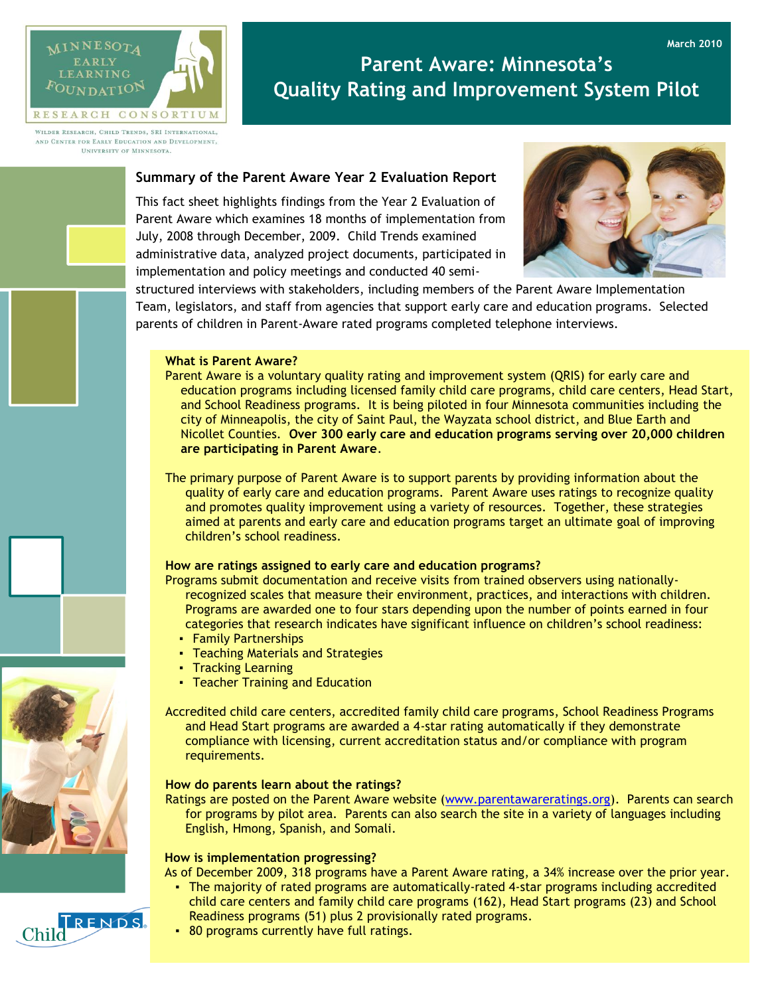

# **Parent Aware: Minnesota's Quality Rating and Improvement System Pilot**

WILDER RESEARCH, CHILD TRENDS, SRI INTERNATIONAL, AND CENTER FOR EARLY EDUCATION AND DEVELOPMENT. UNIVERSITY OF MINNESOTA.

## **Summary of the Parent Aware Year 2 Evaluation Report**

This fact sheet highlights findings from the Year 2 Evaluation of Parent Aware which examines 18 months of implementation from July, 2008 through December, 2009. Child Trends examined administrative data, analyzed project documents, participated in implementation and policy meetings and conducted 40 semi-



**March 2010**

structured interviews with stakeholders, including members of the Parent Aware Implementation Team, legislators, and staff from agencies that support early care and education programs. Selected parents of children in Parent-Aware rated programs completed telephone interviews.

## **What is Parent Aware?**

- Parent Aware is a voluntary quality rating and improvement system (QRIS) for early care and education programs including licensed family child care programs, child care centers, Head Start, and School Readiness programs. It is being piloted in four Minnesota communities including the city of Minneapolis, the city of Saint Paul, the Wayzata school district, and Blue Earth and Nicollet Counties. **Over 300 early care and education programs serving over 20,000 children are participating in Parent Aware**.
- The primary purpose of Parent Aware is to support parents by providing information about the quality of early care and education programs. Parent Aware uses ratings to recognize quality and promotes quality improvement using a variety of resources. Together, these strategies aimed at parents and early care and education programs target an ultimate goal of improving children's school readiness.

## **How are ratings assigned to early care and education programs?**

Programs submit documentation and receive visits from trained observers using nationallyrecognized scales that measure their environment, practices, and interactions with children. Programs are awarded one to four stars depending upon the number of points earned in four categories that research indicates have significant influence on children's school readiness:

- Family Partnerships
- Teaching Materials and Strategies
- Tracking Learning
- **Teacher Training and Education**

Accredited child care centers, accredited family child care programs, School Readiness Programs and Head Start programs are awarded a 4-star rating automatically if they demonstrate compliance with licensing, current accreditation status and/or compliance with program requirements.

### **How do parents learn about the ratings?**

Ratings are posted on the Parent Aware website [\(www.parentawareratings.org\)](http://www.parentawareratings.org/). Parents can search for programs by pilot area. Parents can also search the site in a variety of languages including English, Hmong, Spanish, and Somali.

#### **How is implementation progressing?**

As of December 2009, 318 programs have a Parent Aware rating, a 34% increase over the prior year.

• The majority of rated programs are automatically-rated 4-star programs including accredited child care centers and family child care programs (162), Head Start programs (23) and School Readiness programs (51) plus 2 provisionally rated programs.



▪ 80 programs currently have full ratings.